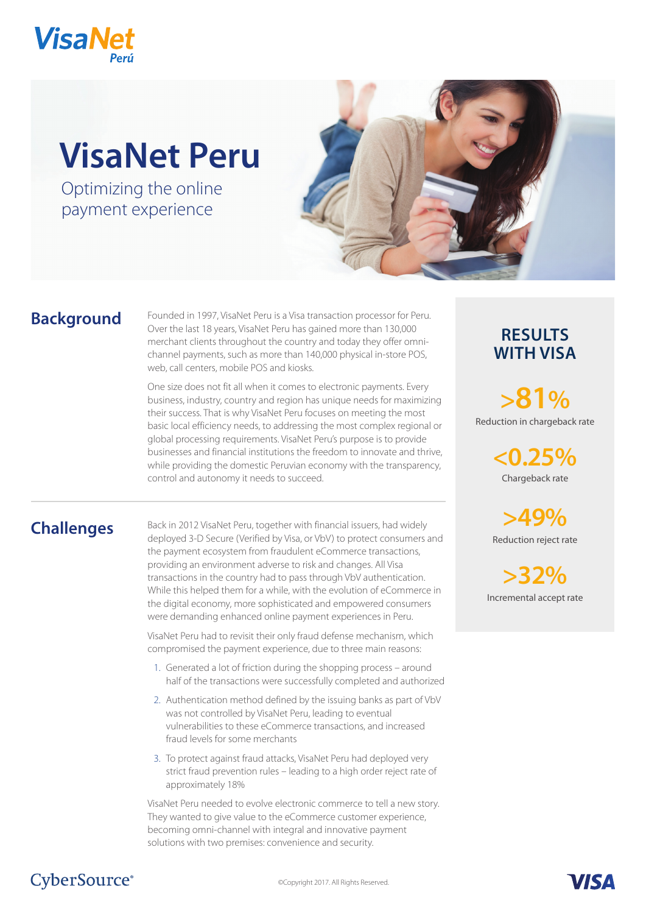

# **VisaNet Peru**

Optimizing the online payment experience



## **Background**

Founded in 1997, VisaNet Peru is a Visa transaction processor for Peru. Over the last 18 years, VisaNet Peru has gained more than 130,000 merchant clients throughout the country and today they offer omnichannel payments, such as more than 140,000 physical in-store POS, web, call centers, mobile POS and kiosks.

One size does not fit all when it comes to electronic payments. Every business, industry, country and region has unique needs for maximizing their success. That is why VisaNet Peru focuses on meeting the most basic local efficiency needs, to addressing the most complex regional or global processing requirements. VisaNet Peru's purpose is to provide businesses and financial institutions the freedom to innovate and thrive, while providing the domestic Peruvian economy with the transparency, control and autonomy it needs to succeed.

# **Challenges**

Back in 2012 VisaNet Peru, together with financial issuers, had widely deployed 3-D Secure (Verified by Visa, or VbV) to protect consumers and the payment ecosystem from fraudulent eCommerce transactions, providing an environment adverse to risk and changes. All Visa transactions in the country had to pass through VbV authentication. While this helped them for a while, with the evolution of eCommerce in the digital economy, more sophisticated and empowered consumers were demanding enhanced online payment experiences in Peru.

VisaNet Peru had to revisit their only fraud defense mechanism, which compromised the payment experience, due to three main reasons:

- 1. Generated a lot of friction during the shopping process around half of the transactions were successfully completed and authorized
- 2. Authentication method defined by the issuing banks as part of VbV was not controlled by VisaNet Peru, leading to eventual vulnerabilities to these eCommerce transactions, and increased fraud levels for some merchants
- 3. To protect against fraud attacks, VisaNet Peru had deployed very strict fraud prevention rules – leading to a high order reject rate of approximately 18%

VisaNet Peru needed to evolve electronic commerce to tell a new story. They wanted to give value to the eCommerce customer experience, becoming omni-channel with integral and innovative payment solutions with two premises: convenience and security.

#### **RESULTS WITH VISA**

Reduction in chargeback rate **>81%**

> Chargeback rate **<0.25%**

Reduction reject rate **>49%** 

Incremental accept rate **>32%** 

# CyberSource<sup>®</sup>